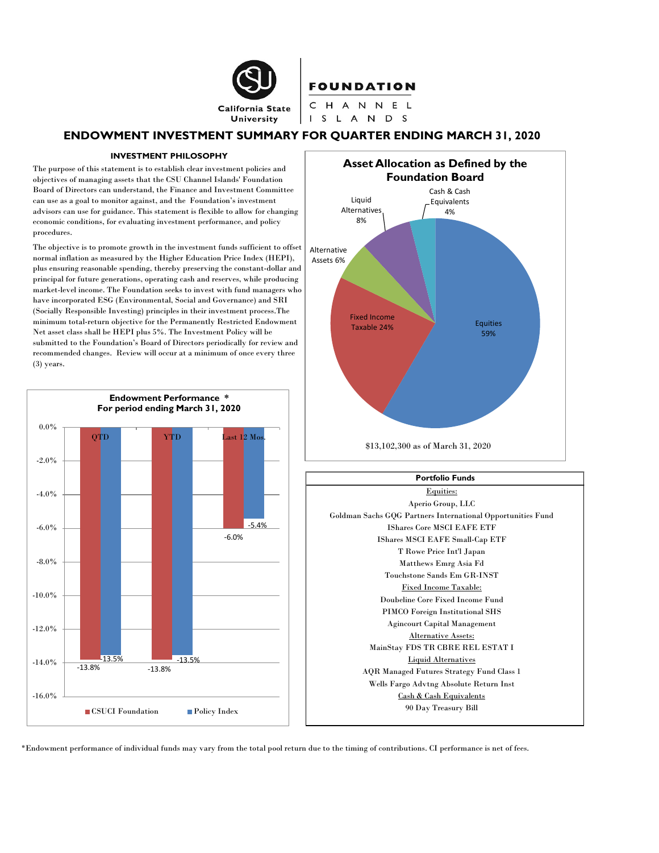

## ENDOWMENT INVESTMENT SUMMARY FOR QUARTER ENDING MARCH 31, 2020

#### INVESTMENT PHILOSOPHY

The purpose of this statement is to establish clear investment policies and objectives of managing assets that the CSU Channel Islands' Foundation Board of Directors can understand, the Finance and Investment Committee can use as a goal to monitor against, and the Foundation's investment advisors can use for guidance. This statement is flexible to allow for changing economic conditions, for evaluating investment performance, and policy procedures.

The objective is to promote growth in the investment funds sufficient to offset  $\big\vert$  Alternative normal inflation as measured by the Higher Education Price Index (HEPI),  $\qquad$  Assets 6% plus ensuring reasonable spending, thereby preserving the constant-dollar and principal for future generations, operating cash and reserves, while producing market-level income. The Foundation seeks to invest with fund managers who have incorporated ESG (Environmental, Social and Governance) and SRI (Socially Responsible Investing) principles in their investment process.The minimum total-return objective for the Permanently Restricted Endowment Net asset class shall be HEPI plus 5%. The Investment Policy will be submitted to the Foundation's Board of Directors periodically for review and recommended changes. Review will occur at a minimum of once every three (3) years.





## Aperio Group, LLC Goldman Sachs GQG Partners International Opportunities Fund IShares Core MSCI EAFE ETF IShares MSCI EAFE Small-Cap ETF T Rowe Price Int'l Japan Matthews Emrg Asia Fd Touchstone Sands Em GR-INST Fixed Income Taxable: Doubeline Core Fixed Income Fund PIMCO Foreign Institutional SHS Agincourt Capital Management MainStay FDS TR CBRE REL ESTAT I AQR Managed Futures Strategy Fund Class 1 Wells Fargo Advtng Absolute Return Inst Cash & Cash Equivalents 90 Day Treasury Bill Equities: Alternative Assets: Liquid Alternatives Portfolio Funds

\*Endowment performance of individual funds may vary from the total pool return due to the timing of contributions. CI performance is net of fees.